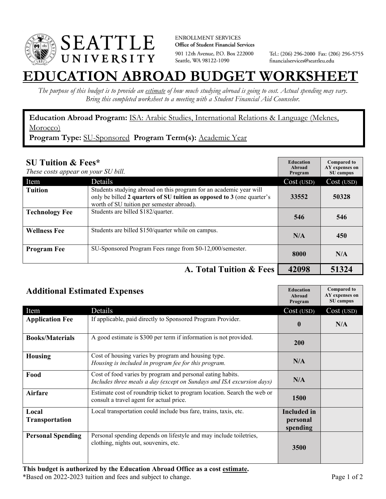

**ENROLLMENT SERVICES** Office of Student Financial Services 901 12th Avenue, P.O. Box 222000 Seattle, WA 98122-1090

Tel.: (206) 296-2000 Fax: (206) 296-5755 financialservices@seattleu.edu

## **EATION ABROAD BUDGET WORKSHEI**

*The purpose of this budget is to provide an estimate of how much studying abroad is going to cost. Actual spending may vary. Bring this completed worksheet to a meeting with a Student Financial Aid Counselor.* 

**Education Abroad Program:** ISA: Arabic Studies, International Relations & Language (Meknes, Morocco)

**Program Type:** SU-Sponsored **Program Term(s):** Academic Year

| <b>SU Tuition &amp; Fees*</b><br>These costs appear on your SU bill. |                                                                                                                                                                                           | <b>Education</b><br>Abroad<br>Program | <b>Compared to</b><br>AY expenses on<br>SU campus |
|----------------------------------------------------------------------|-------------------------------------------------------------------------------------------------------------------------------------------------------------------------------------------|---------------------------------------|---------------------------------------------------|
| Item                                                                 | Details                                                                                                                                                                                   | Cost (USD)                            | Cost (USD)                                        |
| <b>Tuition</b>                                                       | Students studying abroad on this program for an academic year will<br>only be billed 2 quarters of SU tuition as opposed to 3 (one quarter's<br>worth of SU tuition per semester abroad). | 33552                                 | 50328                                             |
| <b>Technology Fee</b>                                                | Students are billed \$182/quarter.                                                                                                                                                        | 546                                   | 546                                               |
| <b>Wellness Fee</b>                                                  | Students are billed \$150/quarter while on campus.                                                                                                                                        | N/A                                   | 450                                               |
| <b>Program Fee</b>                                                   | SU-Sponsored Program Fees range from \$0-12,000/semester.                                                                                                                                 | 8000                                  | N/A                                               |
|                                                                      | A. Total Tuition & Fees                                                                                                                                                                   | 42098                                 | 51324                                             |

| <b>Additional Estimated Expenses</b> |                                                                                                                                     | <b>Education</b><br>Abroad<br>Program      | <b>Compared to</b><br>AY expenses on<br>SU campus |
|--------------------------------------|-------------------------------------------------------------------------------------------------------------------------------------|--------------------------------------------|---------------------------------------------------|
| Item                                 | Details                                                                                                                             | Cost (USD)                                 | Cost (USD)                                        |
| <b>Application Fee</b>               | If applicable, paid directly to Sponsored Program Provider.                                                                         | $\mathbf 0$                                | N/A                                               |
| <b>Books/Materials</b>               | A good estimate is \$300 per term if information is not provided.                                                                   | 200                                        |                                                   |
| <b>Housing</b>                       | Cost of housing varies by program and housing type.<br>Housing is included in program fee for this program.                         | N/A                                        |                                                   |
| Food                                 | Cost of food varies by program and personal eating habits.<br>Includes three meals a day (except on Sundays and ISA excursion days) | N/A                                        |                                                   |
| <b>Airfare</b>                       | Estimate cost of roundtrip ticket to program location. Search the web or<br>consult a travel agent for actual price.                | <b>1500</b>                                |                                                   |
| Local<br><b>Transportation</b>       | Local transportation could include bus fare, trains, taxis, etc.                                                                    | <b>Included</b> in<br>personal<br>spending |                                                   |
| <b>Personal Spending</b>             | Personal spending depends on lifestyle and may include toiletries,<br>clothing, nights out, souvenirs, etc.                         | 3500                                       |                                                   |

**This budget is authorized by the Education Abroad Office as a cost estimate.**  \*Based on 2022-2023 tuition and fees and subject to change. Page 1 of 2